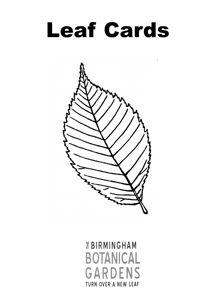

 $\bar{\phantom{a}}$ 



*EBIRMINGHAM* **BOTANICAL GARDENS TURN OVER A NEW LEAF**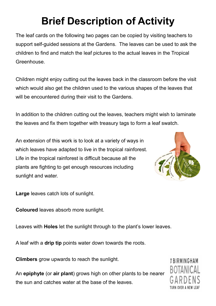## **Brief Description of Activity**

The leaf cards on the following two pages can be copied by visiting teachers to support self-guided sessions at the Gardens. The leaves can be used to ask the children to find and match the leaf pictures to the actual leaves in the Tropical Greenhouse.

Children might enjoy cutting out the leaves back in the classroom before the visit which would also get the children used to the various shapes of the leaves that will be encountered during their visit to the Gardens.

In addition to the children cutting out the leaves, teachers might wish to laminate the leaves and fix them together with treasury tags to form a leaf swatch.

An extension of this work is to look at a variety of ways in which leaves have adapted to live in the tropical rainforest. Life in the tropical rainforest is difficult because all the plants are fighting to get enough resources including sunlight and water.



**Large** leaves catch lots of sunlight.

**Coloured** leaves absorb more sunlight.

Leaves with **Holes** let the sunlight through to the plant's lower leaves.

A leaf with a **drip tip** points water down towards the roots.

**Climbers** grow upwards to reach the sunlight.

An **epiphyte** (or **air plant**) grows high on other plants to be nearer the sun and catches water at the base of the leaves.

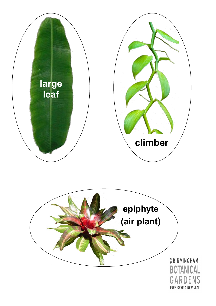